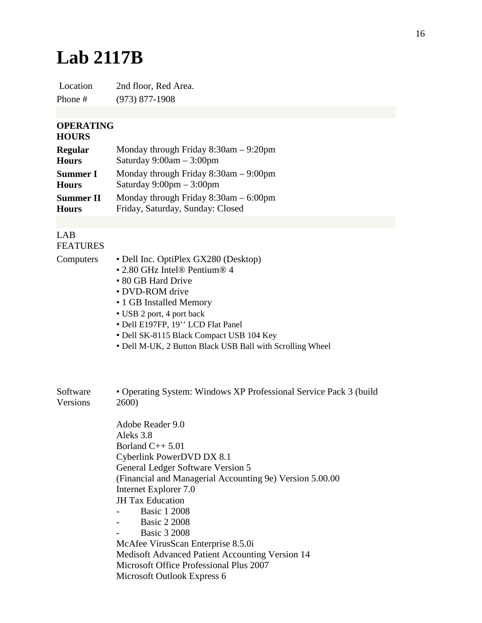## **Lab 2117B**

Location 2nd floor, Red Area. Phone # (973) 877-1908

## **OPERATING**

## **HOURS**

| <b>Regular</b>   | Monday through Friday 8:30am - 9:20pm      |
|------------------|--------------------------------------------|
| <b>Hours</b>     | Saturday $9:00am - 3:00pm$                 |
| <b>Summer I</b>  | Monday through Friday $8:30$ am $-9:00$ pm |
| <b>Hours</b>     | Saturday $9:00 \text{pm} - 3:00 \text{pm}$ |
| <b>Summer II</b> | Monday through Friday $8:30$ am $-6:00$ pm |
| <b>Hours</b>     | Friday, Saturday, Sunday: Closed           |

## LAB FEATURES

- Computers Dell Inc. OptiPlex GX280 (Desktop)
	- 2.80 GHz Intel® Pentium® 4
	- 80 GB Hard Drive
	- DVD-ROM drive
	- 1 GB Installed Memory
	- USB 2 port, 4 port back
	- Dell E197FP, 19'' LCD Flat Panel
	- Dell SK-8115 Black Compact USB 104 Key
	- Dell M-UK, 2 Button Black USB Ball with Scrolling Wheel

| Software | • Operating System: Windows XP Professional Service Pack 3 (build |
|----------|-------------------------------------------------------------------|
| Versions | 2600)                                                             |

Adobe Reader 9.0 Aleks 3.8 Borland C++ 5.01 Cyberlink PowerDVD DX 8.1 General Ledger Software Version 5 (Financial and Managerial Accounting 9e) Version 5.00.00 Internet Explorer 7.0 JH Tax Education - Basic 1 2008 - Basic 2 2008

**Basic 3 2008** 

McAfee VirusScan Enterprise 8.5.0i Medisoft Advanced Patient Accounting Version 14 Microsoft Office Professional Plus 2007 Microsoft Outlook Express 6